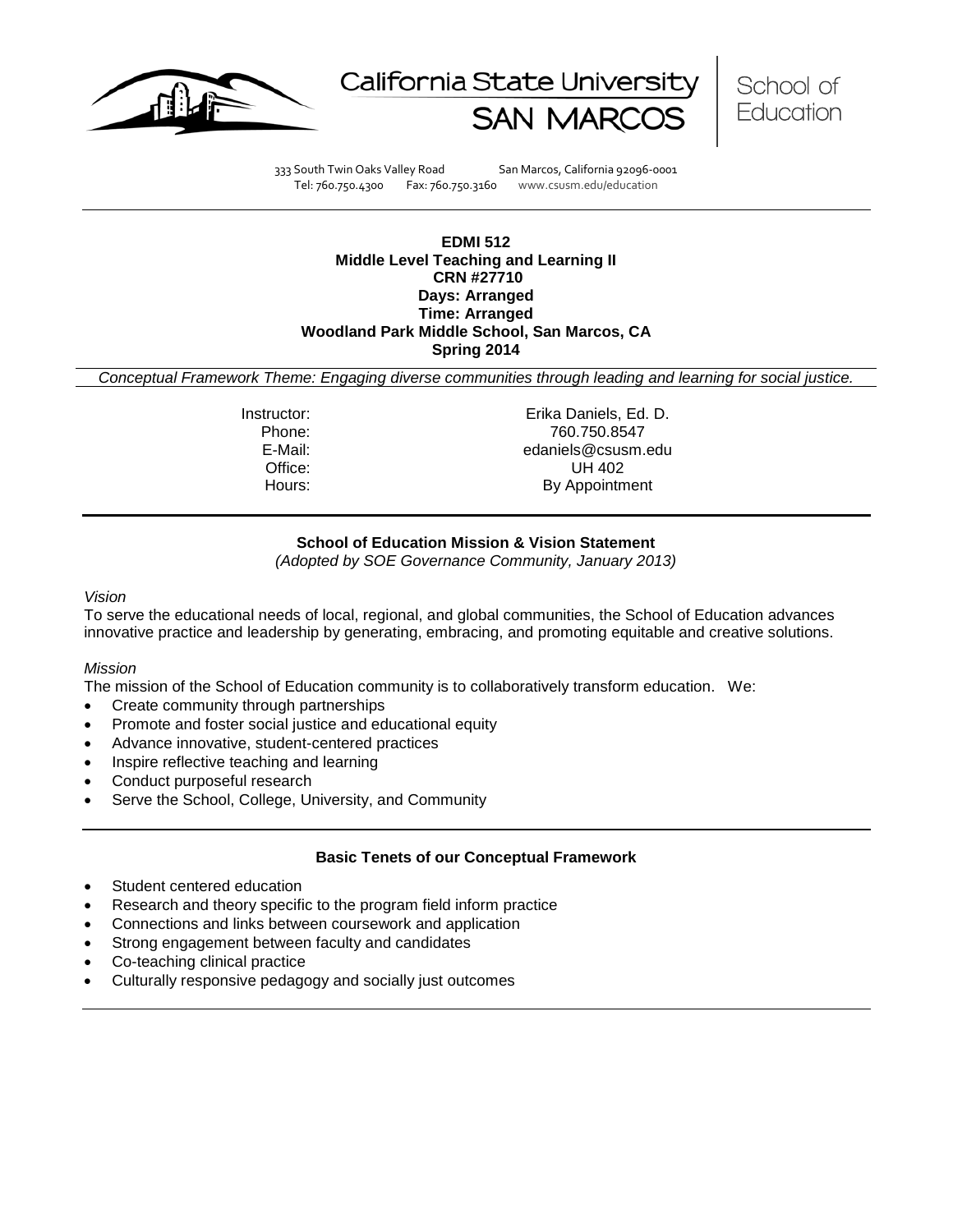





333 South Twin Oaks Valley Road San Marcos, California 92096-0001 Tel: 760.750.4300 Fax: 760.750.3160 www.csusm.edu/education

### **EDMI 512 Middle Level Teaching and Learning II CRN #27710 Days: Arranged Time: Arranged Woodland Park Middle School, San Marcos, CA Spring 2014**

*Conceptual Framework Theme: Engaging diverse communities through leading and learning for social justice.*

Instructor: Erika Daniels, Ed. D. Phone: 760.750.8547<br>E-Mail: 760.750.8547<br>E-Mail: 760.750.8547 edaniels@csusm.edu Office: UH 402 Hours: By Appointment

# **School of Education Mission & Vision Statement**

*(Adopted by SOE Governance Community, January 2013)*

#### *Vision*

To serve the educational needs of local, regional, and global communities, the School of Education advances innovative practice and leadership by generating, embracing, and promoting equitable and creative solutions.

### *Mission*

The mission of the School of Education community is to collaboratively transform education. We:

- Create community through partnerships
- Promote and foster social justice and educational equity
- Advance innovative, student-centered practices
- Inspire reflective teaching and learning
- Conduct purposeful research
- Serve the School, College, University, and Community

### **Basic Tenets of our Conceptual Framework**

- Student centered education
- Research and theory specific to the program field inform practice
- Connections and links between coursework and application
- Strong engagement between faculty and candidates
- Co-teaching clinical practice
- Culturally responsive pedagogy and socially just outcomes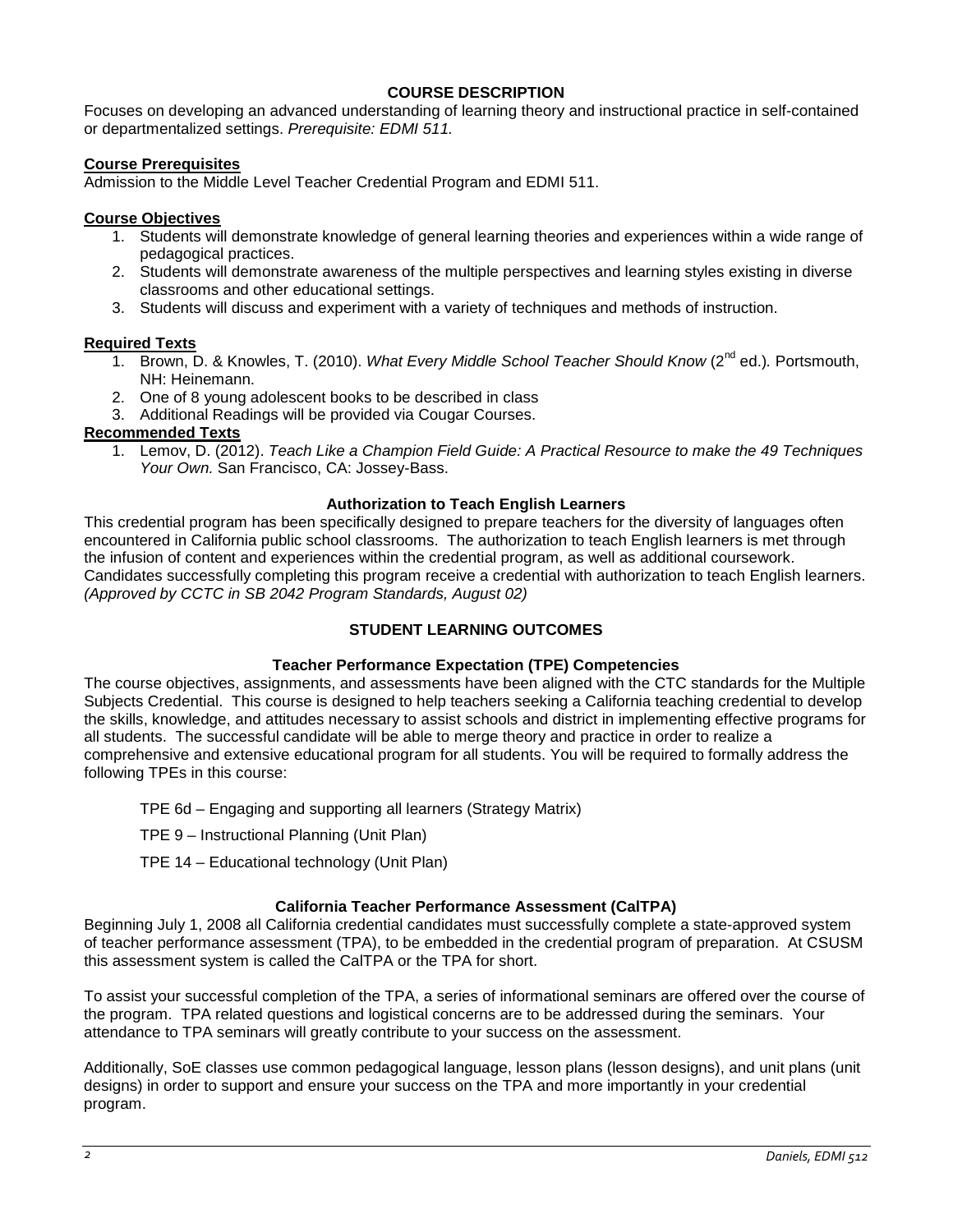# **COURSE DESCRIPTION**

Focuses on developing an advanced understanding of learning theory and instructional practice in self-contained or departmentalized settings. *Prerequisite: EDMI 511.*

### **Course Prerequisites**

Admission to the Middle Level Teacher Credential Program and EDMI 511.

### **Course Objectives**

- 1. Students will demonstrate knowledge of general learning theories and experiences within a wide range of pedagogical practices.
- 2. Students will demonstrate awareness of the multiple perspectives and learning styles existing in diverse classrooms and other educational settings.
- 3. Students will discuss and experiment with a variety of techniques and methods of instruction.

### **Required Texts**

- 1. Brown, D. & Knowles, T. (2010). *What Every Middle School Teacher Should Know* (2nd ed.)*.* Portsmouth, NH: Heinemann.
- 2. One of 8 young adolescent books to be described in class
- 3. Additional Readings will be provided via Cougar Courses.

# **Recommended Texts**

1. Lemov, D. (2012). *Teach Like a Champion Field Guide: A Practical Resource to make the 49 Techniques Your Own.* San Francisco, CA: Jossey-Bass.

# **Authorization to Teach English Learners**

This credential program has been specifically designed to prepare teachers for the diversity of languages often encountered in California public school classrooms. The authorization to teach English learners is met through the infusion of content and experiences within the credential program, as well as additional coursework. Candidates successfully completing this program receive a credential with authorization to teach English learners. *(Approved by CCTC in SB 2042 Program Standards, August 02)*

# **STUDENT LEARNING OUTCOMES**

### **Teacher Performance Expectation (TPE) Competencies**

The course objectives, assignments, and assessments have been aligned with the CTC standards for the Multiple Subjects Credential. This course is designed to help teachers seeking a California teaching credential to develop the skills, knowledge, and attitudes necessary to assist schools and district in implementing effective programs for all students. The successful candidate will be able to merge theory and practice in order to realize a comprehensive and extensive educational program for all students. You will be required to formally address the following TPEs in this course:

- TPE 6d Engaging and supporting all learners (Strategy Matrix)
- TPE 9 Instructional Planning (Unit Plan)
- TPE 14 Educational technology (Unit Plan)

### **California Teacher Performance Assessment (CalTPA)**

Beginning July 1, 2008 all California credential candidates must successfully complete a state-approved system of teacher performance assessment (TPA), to be embedded in the credential program of preparation. At CSUSM this assessment system is called the CalTPA or the TPA for short.

To assist your successful completion of the TPA, a series of informational seminars are offered over the course of the program. TPA related questions and logistical concerns are to be addressed during the seminars. Your attendance to TPA seminars will greatly contribute to your success on the assessment.

Additionally, SoE classes use common pedagogical language, lesson plans (lesson designs), and unit plans (unit designs) in order to support and ensure your success on the TPA and more importantly in your credential program.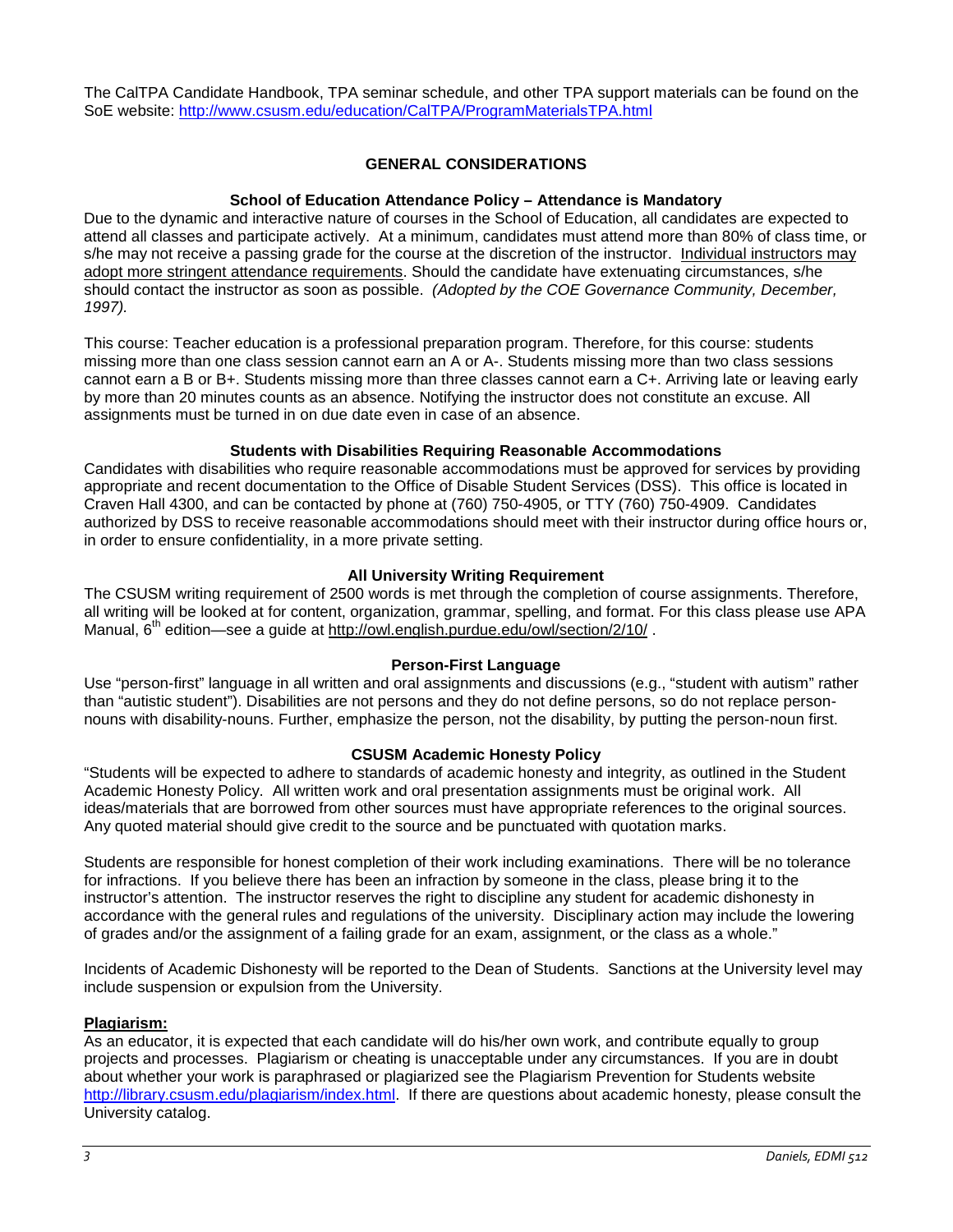The CalTPA Candidate Handbook, TPA seminar schedule, and other TPA support materials can be found on the SoE website: <http://www.csusm.edu/education/CalTPA/ProgramMaterialsTPA.html>

# **GENERAL CONSIDERATIONS**

### **School of Education Attendance Policy – Attendance is Mandatory**

Due to the dynamic and interactive nature of courses in the School of Education, all candidates are expected to attend all classes and participate actively. At a minimum, candidates must attend more than 80% of class time, or s/he may not receive a passing grade for the course at the discretion of the instructor. Individual instructors may adopt more stringent attendance requirements. Should the candidate have extenuating circumstances, s/he should contact the instructor as soon as possible. *(Adopted by the COE Governance Community, December, 1997).*

This course: Teacher education is a professional preparation program. Therefore, for this course: students missing more than one class session cannot earn an A or A-. Students missing more than two class sessions cannot earn a B or B+. Students missing more than three classes cannot earn a C+. Arriving late or leaving early by more than 20 minutes counts as an absence. Notifying the instructor does not constitute an excuse. All assignments must be turned in on due date even in case of an absence.

### **Students with Disabilities Requiring Reasonable Accommodations**

Candidates with disabilities who require reasonable accommodations must be approved for services by providing appropriate and recent documentation to the Office of Disable Student Services (DSS). This office is located in Craven Hall 4300, and can be contacted by phone at (760) 750-4905, or TTY (760) 750-4909. Candidates authorized by DSS to receive reasonable accommodations should meet with their instructor during office hours or, in order to ensure confidentiality, in a more private setting.

# **All University Writing Requirement**

The CSUSM writing requirement of 2500 words is met through the completion of course assignments. Therefore, all writing will be looked at for content, organization, grammar, spelling, and format. For this class please use APA Manual,  $6<sup>th</sup>$  edition—see a quide at<http://owl.english.purdue.edu/owl/section/2/10/>.

### **Person-First Language**

Use "person-first" language in all written and oral assignments and discussions (e.g., "student with autism" rather than "autistic student"). Disabilities are not persons and they do not define persons, so do not replace personnouns with disability-nouns. Further, emphasize the person, not the disability, by putting the person-noun first.

### **CSUSM Academic Honesty Policy**

"Students will be expected to adhere to standards of academic honesty and integrity, as outlined in the Student Academic Honesty Policy. All written work and oral presentation assignments must be original work. All ideas/materials that are borrowed from other sources must have appropriate references to the original sources. Any quoted material should give credit to the source and be punctuated with quotation marks.

Students are responsible for honest completion of their work including examinations. There will be no tolerance for infractions. If you believe there has been an infraction by someone in the class, please bring it to the instructor's attention. The instructor reserves the right to discipline any student for academic dishonesty in accordance with the general rules and regulations of the university. Disciplinary action may include the lowering of grades and/or the assignment of a failing grade for an exam, assignment, or the class as a whole."

Incidents of Academic Dishonesty will be reported to the Dean of Students. Sanctions at the University level may include suspension or expulsion from the University.

### **Plagiarism:**

As an educator, it is expected that each candidate will do his/her own work, and contribute equally to group projects and processes. Plagiarism or cheating is unacceptable under any circumstances. If you are in doubt about whether your work is paraphrased or plagiarized see the Plagiarism Prevention for Students website [http://library.csusm.edu/plagiarism/index.html.](http://library.csusm.edu/plagiarism/index.html) If there are questions about academic honesty, please consult the University catalog.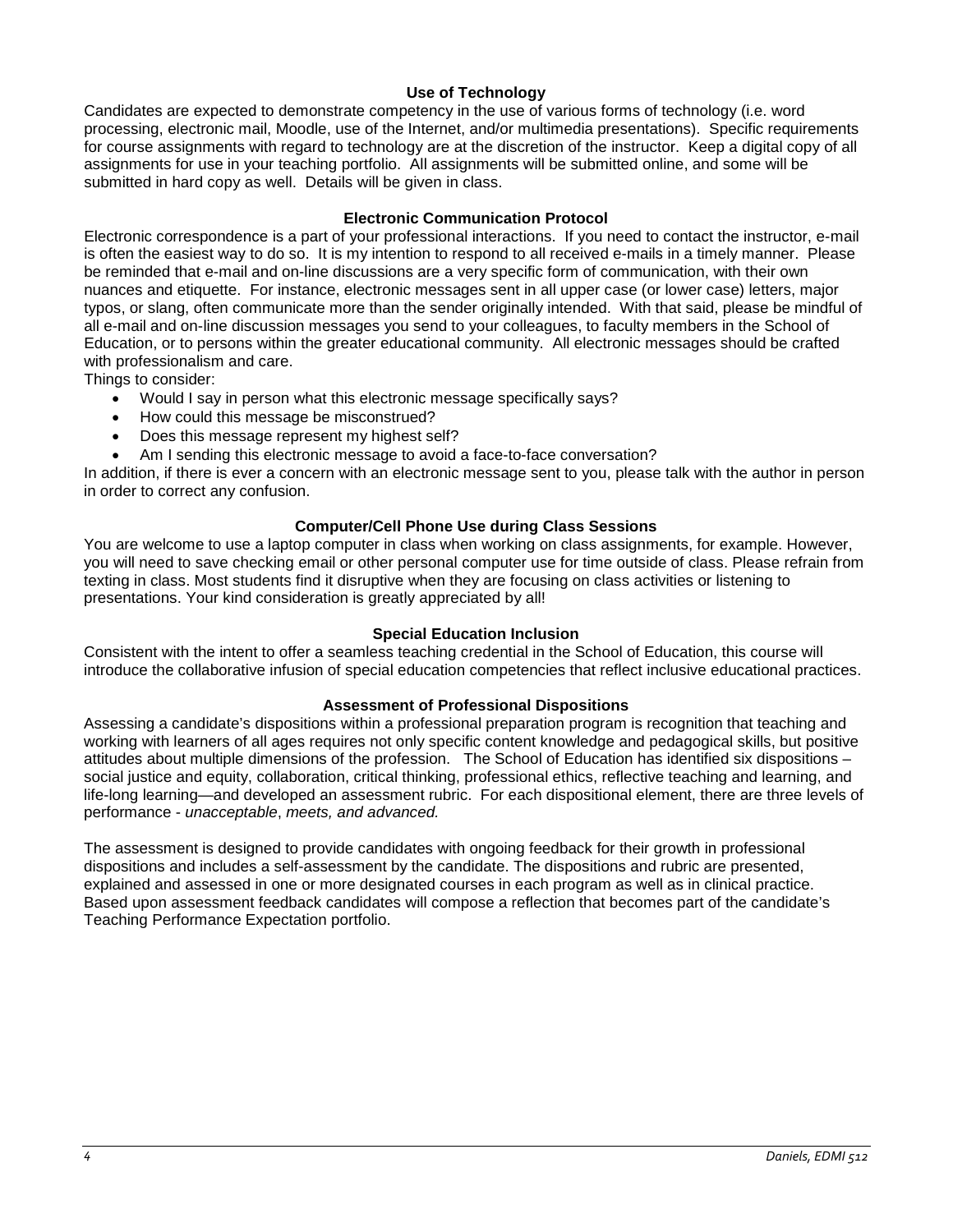# **Use of Technology**

Candidates are expected to demonstrate competency in the use of various forms of technology (i.e. word processing, electronic mail, Moodle, use of the Internet, and/or multimedia presentations). Specific requirements for course assignments with regard to technology are at the discretion of the instructor. Keep a digital copy of all assignments for use in your teaching portfolio. All assignments will be submitted online, and some will be submitted in hard copy as well. Details will be given in class.

### **Electronic Communication Protocol**

Electronic correspondence is a part of your professional interactions. If you need to contact the instructor, e-mail is often the easiest way to do so. It is my intention to respond to all received e-mails in a timely manner. Please be reminded that e-mail and on-line discussions are a very specific form of communication, with their own nuances and etiquette. For instance, electronic messages sent in all upper case (or lower case) letters, major typos, or slang, often communicate more than the sender originally intended. With that said, please be mindful of all e-mail and on-line discussion messages you send to your colleagues, to faculty members in the School of Education, or to persons within the greater educational community. All electronic messages should be crafted with professionalism and care.

Things to consider:

- Would I say in person what this electronic message specifically says?
- How could this message be misconstrued?
- Does this message represent my highest self?
- Am I sending this electronic message to avoid a face-to-face conversation?

In addition, if there is ever a concern with an electronic message sent to you, please talk with the author in person in order to correct any confusion.

# **Computer/Cell Phone Use during Class Sessions**

You are welcome to use a laptop computer in class when working on class assignments, for example. However, you will need to save checking email or other personal computer use for time outside of class. Please refrain from texting in class. Most students find it disruptive when they are focusing on class activities or listening to presentations. Your kind consideration is greatly appreciated by all!

### **Special Education Inclusion**

Consistent with the intent to offer a seamless teaching credential in the School of Education, this course will introduce the collaborative infusion of special education competencies that reflect inclusive educational practices.

### **Assessment of Professional Dispositions**

Assessing a candidate's dispositions within a professional preparation program is recognition that teaching and working with learners of all ages requires not only specific content knowledge and pedagogical skills, but positive attitudes about multiple dimensions of the profession. The School of Education has identified six dispositions – social justice and equity, collaboration, critical thinking, professional ethics, reflective teaching and learning, and life-long learning—and developed an assessment rubric. For each dispositional element, there are three levels of performance - *unacceptable*, *meets, and advanced.*

The assessment is designed to provide candidates with ongoing feedback for their growth in professional dispositions and includes a self-assessment by the candidate. The dispositions and rubric are presented, explained and assessed in one or more designated courses in each program as well as in clinical practice. Based upon assessment feedback candidates will compose a reflection that becomes part of the candidate's Teaching Performance Expectation portfolio.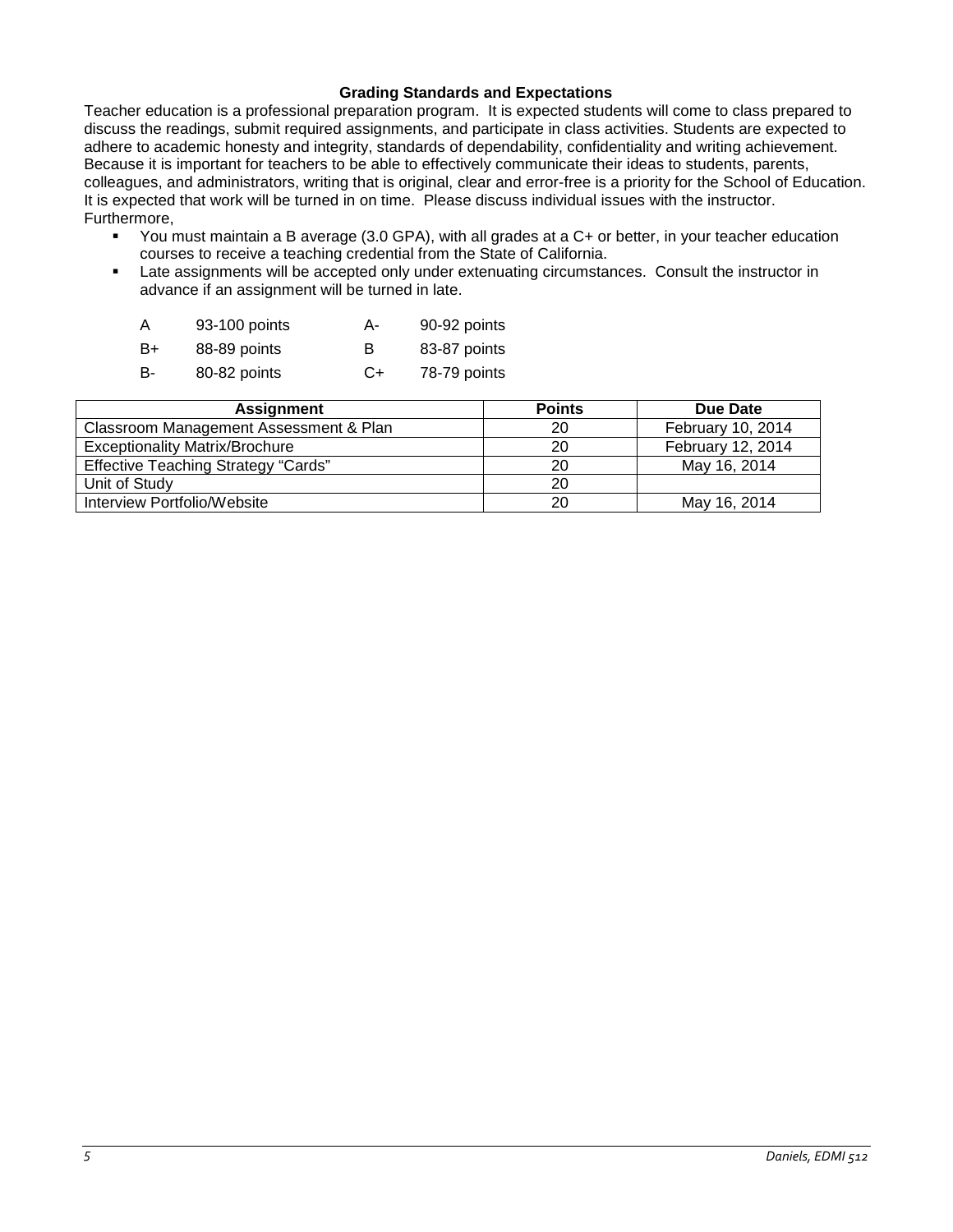### **Grading Standards and Expectations**

Teacher education is a professional preparation program. It is expected students will come to class prepared to discuss the readings, submit required assignments, and participate in class activities. Students are expected to adhere to academic honesty and integrity, standards of dependability, confidentiality and writing achievement. Because it is important for teachers to be able to effectively communicate their ideas to students, parents, colleagues, and administrators, writing that is original, clear and error-free is a priority for the School of Education. It is expected that work will be turned in on time. Please discuss individual issues with the instructor. Furthermore,

- You must maintain a B average (3.0 GPA), with all grades at a C+ or better, in your teacher education courses to receive a teaching credential from the State of California.
- Late assignments will be accepted only under extenuating circumstances. Consult the instructor in advance if an assignment will be turned in late.

| A  | 93-100 points | А- | 90-92 points |
|----|---------------|----|--------------|
| B+ | 88-89 points  | в  | 83-87 points |
| B- | 80-82 points  | C+ | 78-79 points |

| <b>Assignment</b>                          | <b>Points</b> | Due Date          |
|--------------------------------------------|---------------|-------------------|
| Classroom Management Assessment & Plan     | 20            | February 10, 2014 |
| <b>Exceptionality Matrix/Brochure</b>      | 20            | February 12, 2014 |
| <b>Effective Teaching Strategy "Cards"</b> | 20            | May 16, 2014      |
| Unit of Study                              | 20            |                   |
| Interview Portfolio/Website                | 20            | May 16, 2014      |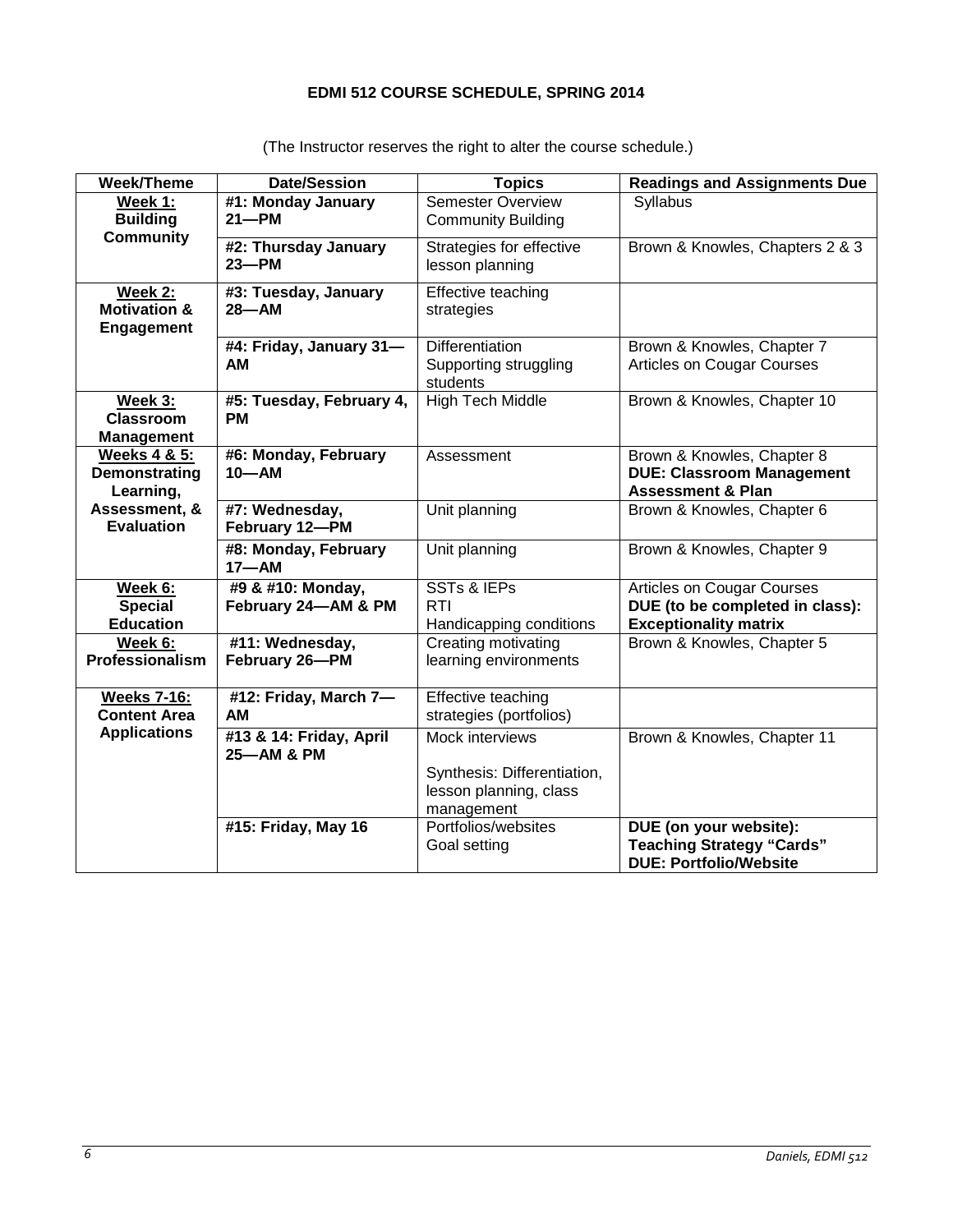# **EDMI 512 COURSE SCHEDULE, SPRING 2014**

| Week/Theme                                              | <b>Date/Session</b>                      | <b>Topics</b>                                                                          | <b>Readings and Assignments Due</b>                                                                  |
|---------------------------------------------------------|------------------------------------------|----------------------------------------------------------------------------------------|------------------------------------------------------------------------------------------------------|
| Week 1:<br><b>Building</b><br><b>Community</b>          | #1: Monday January<br>$21 - PM$          | <b>Semester Overview</b><br><b>Community Building</b>                                  | Syllabus                                                                                             |
|                                                         | #2: Thursday January<br>$23 - PM$        | Strategies for effective<br>lesson planning                                            | Brown & Knowles, Chapters 2 & 3                                                                      |
| Week 2:<br><b>Motivation &amp;</b><br><b>Engagement</b> | #3: Tuesday, January<br>$28 - AM$        | Effective teaching<br>strategies                                                       |                                                                                                      |
|                                                         | #4: Friday, January 31-<br>AM            | <b>Differentiation</b><br>Supporting struggling<br>students                            | Brown & Knowles, Chapter 7<br><b>Articles on Cougar Courses</b>                                      |
| Week 3:<br><b>Classroom</b><br><b>Management</b>        | #5: Tuesday, February 4,<br><b>PM</b>    | High Tech Middle                                                                       | Brown & Knowles, Chapter 10                                                                          |
| <b>Weeks 4 &amp; 5:</b><br>Demonstrating<br>Learning,   | #6: Monday, February<br>$10 - AM$        | Assessment                                                                             | Brown & Knowles, Chapter 8<br><b>DUE: Classroom Management</b><br><b>Assessment &amp; Plan</b>       |
| Assessment, &<br><b>Evaluation</b>                      | #7: Wednesday,<br>February 12-PM         | Unit planning                                                                          | Brown & Knowles, Chapter 6                                                                           |
|                                                         | #8: Monday, February<br>$17 - AM$        | Unit planning                                                                          | Brown & Knowles, Chapter 9                                                                           |
| Week 6:<br><b>Special</b><br><b>Education</b>           | #9 & #10: Monday,<br>February 24-AM & PM | <b>SSTs &amp; IEPs</b><br><b>RTI</b><br>Handicapping conditions                        | <b>Articles on Cougar Courses</b><br>DUE (to be completed in class):<br><b>Exceptionality matrix</b> |
| Week 6:<br>Professionalism                              | #11: Wednesday,<br>February 26-PM        | Creating motivating<br>learning environments                                           | Brown & Knowles, Chapter 5                                                                           |
| <b>Weeks 7-16:</b><br><b>Content Area</b>               | #12: Friday, March 7-<br>AM              | Effective teaching<br>strategies (portfolios)                                          |                                                                                                      |
| <b>Applications</b>                                     | #13 & 14: Friday, April<br>25-AM & PM    | Mock interviews<br>Synthesis: Differentiation,<br>lesson planning, class<br>management | Brown & Knowles, Chapter 11                                                                          |
|                                                         | #15: Friday, May 16                      | Portfolios/websites<br>Goal setting                                                    | DUE (on your website):<br><b>Teaching Strategy "Cards"</b><br><b>DUE: Portfolio/Website</b>          |

(The Instructor reserves the right to alter the course schedule.)